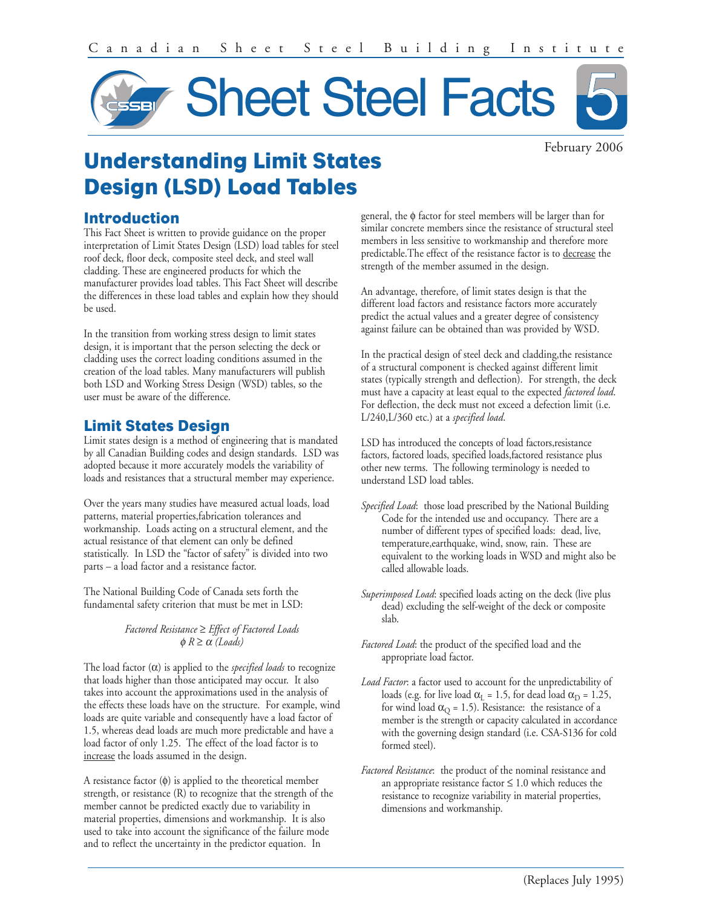

February 2006

# **Understanding Limit States Design (LSD) Load Tables**

### **Introduction**

This Fact Sheet is written to provide guidance on the proper interpretation of Limit States Design (LSD) load tables for steel roof deck, floor deck, composite steel deck, and steel wall cladding. These are engineered products for which the manufacturer provides load tables. This Fact Sheet will describe the differences in these load tables and explain how they should be used.

In the transition from working stress design to limit states design, it is important that the person selecting the deck or cladding uses the correct loading conditions assumed in the creation of the load tables. Many manufacturers will publish both LSD and Working Stress Design (WSD) tables, so the user must be aware of the difference.

# **Limit States Design**

Limit states design is a method of engineering that is mandated by all Canadian Building codes and design standards. LSD was adopted because it more accurately models the variability of loads and resistances that a structural member may experience.

Over the years many studies have measured actual loads, load patterns, material properties,fabrication tolerances and workmanship. Loads acting on a structural element, and the actual resistance of that element can only be defined statistically. In LSD the "factor of safety" is divided into two parts – a load factor and a resistance factor.

The National Building Code of Canada sets forth the fundamental safety criterion that must be met in LSD:

#### *Factored Resistance* ≥ *Effect of Factored Loads*   $φ$   $R ≥ α$  *(Loads)*

The load factor (α) is applied to the *specified loads* to recognize that loads higher than those anticipated may occur. It also takes into account the approximations used in the analysis of the effects these loads have on the structure. For example, wind loads are quite variable and consequently have a load factor of 1.5, whereas dead loads are much more predictable and have a load factor of only 1.25. The effect of the load factor is to increase the loads assumed in the design.

A resistance factor (φ) is applied to the theoretical member strength, or resistance (R) to recognize that the strength of the member cannot be predicted exactly due to variability in material properties, dimensions and workmanship. It is also used to take into account the significance of the failure mode and to reflect the uncertainty in the predictor equation. In

general, the φ factor for steel members will be larger than for similar concrete members since the resistance of structural steel members in less sensitive to workmanship and therefore more predictable.The effect of the resistance factor is to decrease the strength of the member assumed in the design.

An advantage, therefore, of limit states design is that the different load factors and resistance factors more accurately predict the actual values and a greater degree of consistency against failure can be obtained than was provided by WSD.

In the practical design of steel deck and cladding,the resistance of a structural component is checked against different limit states (typically strength and deflection). For strength, the deck must have a capacity at least equal to the expected *factored load*. For deflection, the deck must not exceed a defection limit (i.e. L/240,L/360 etc.) at a *specified load*.

LSD has introduced the concepts of load factors,resistance factors, factored loads, specified loads,factored resistance plus other new terms. The following terminology is needed to understand LSD load tables.

- *Specified Load*: those load prescribed by the National Building Code for the intended use and occupancy. There are a number of different types of specified loads: dead, live, temperature,earthquake, wind, snow, rain. These are equivalent to the working loads in WSD and might also be called allowable loads.
- *Superimposed Load*: specified loads acting on the deck (live plus dead) excluding the self-weight of the deck or composite slab.
- *Factored Load*: the product of the specified load and the appropriate load factor.
- *Load Factor*: a factor used to account for the unpredictability of loads (e.g. for live load  $\alpha_L = 1.5$ , for dead load  $\alpha_D = 1.25$ , for wind load  $\alpha_{\rm Q}$  = 1.5). Resistance: the resistance of a member is the strength or capacity calculated in accordance with the governing design standard (i.e. CSA-S136 for cold formed steel).
- *Factored Resistance*: the product of the nominal resistance and an appropriate resistance factor  $\leq 1.0$  which reduces the resistance to recognize variability in material properties, dimensions and workmanship.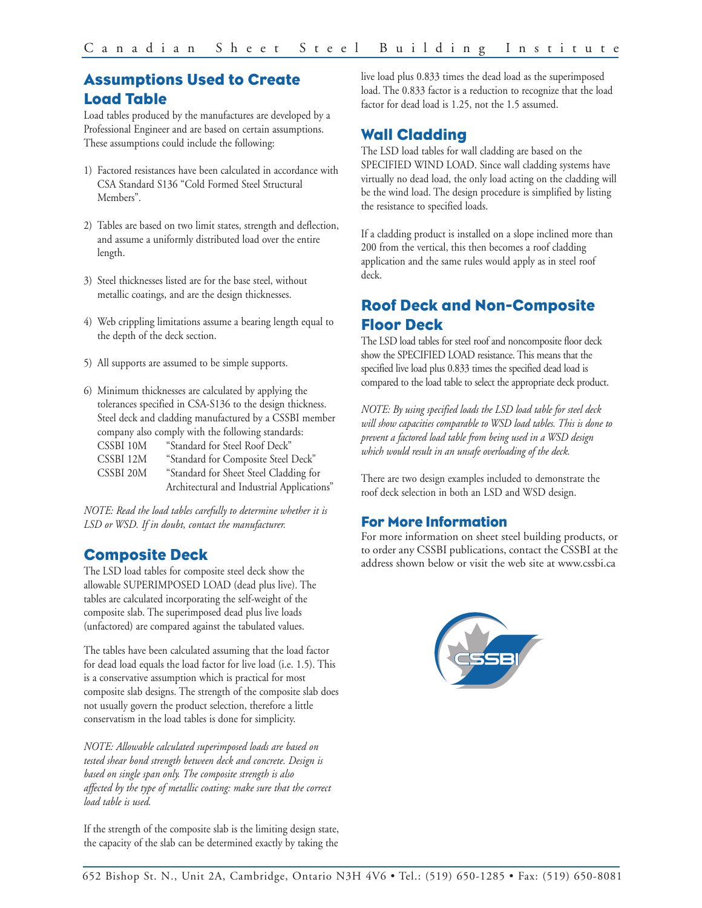# **Assumptions Used to Create Load Table**

Load tables produced by the manufactures are developed by a Professional Engineer and are based on certain assumptions. These assumptions could include the following:

- 1) Factored resistances have been calculated in accordance with CSA Standard S136 "Cold Formed Steel Structural Members".
- 2) Tables are based on two limit states, strength and deflection, and assume a uniformly distributed load over the entire length.
- 3) Steel thicknesses listed are for the base steel, without metallic coatings, and are the design thicknesses.
- 4) Web crippling limitations assume a bearing length equal to the depth of the deck section.
- 5) All supports are assumed to be simple supports.
- 6) Minimum thicknesses are calculated by applying the tolerances specified in CSA-S136 to the design thickness. Steel deck and cladding manufactured by a CSSBI member company also comply with the following standards: CSSBI 10M "Standard for Steel Roof Deck" CSSBI 12M "Standard for Composite Steel Deck" CSSBI 20M "Standard for Sheet Steel Cladding for Architectural and Industrial Applications"

*NOTE: Read the load tables carefully to determine whether it is LSD or WSD. If in doubt, contact the manufacturer.*

# **Composite Deck**

The LSD load tables for composite steel deck show the allowable SUPERIMPOSED LOAD (dead plus live). The tables are calculated incorporating the self-weight of the composite slab. The superimposed dead plus live loads (unfactored) are compared against the tabulated values.

The tables have been calculated assuming that the load factor for dead load equals the load factor for live load (i.e. 1.5). This is a conservative assumption which is practical for most composite slab designs. The strength of the composite slab does not usually govern the product selection, therefore a little conservatism in the load tables is done for simplicity.

*NOTE: Allowable calculated superimposed loads are based on tested shear bond strength between deck and concrete. Design is based on single span only. The composite strength is also affected by the type of metallic coating: make sure that the correct load table is used.*

If the strength of the composite slab is the limiting design state, the capacity of the slab can be determined exactly by taking the

live load plus 0.833 times the dead load as the superimposed load. The 0.833 factor is a reduction to recognize that the load factor for dead load is 1.25, not the 1.5 assumed.

### **Wall Cladding**

The LSD load tables for wall cladding are based on the SPECIFIED WIND LOAD. Since wall cladding systems have virtually no dead load, the only load acting on the cladding will be the wind load. The design procedure is simplified by listing the resistance to specified loads.

If a cladding product is installed on a slope inclined more than 200 from the vertical, this then becomes a roof cladding application and the same rules would apply as in steel roof deck.

# **Roof Deck and Non-Composite Floor Deck**

The LSD load tables for steel roof and noncomposite floor deck show the SPECIFIED LOAD resistance. This means that the specified live load plus 0.833 times the specified dead load is compared to the load table to select the appropriate deck product.

*NOTE: By using specified loads the LSD load table for steel deck will show capacities comparable to WSD load tables. This is done to prevent a factored load table from being used in a WSD design which would result in an unsafe overloading of the deck.*

There are two design examples included to demonstrate the roof deck selection in both an LSD and WSD design.

### **For More Information**

For more information on sheet steel building products, or to order any CSSBI publications, contact the CSSBI at the address shown below or visit the web site at www.cssbi.ca

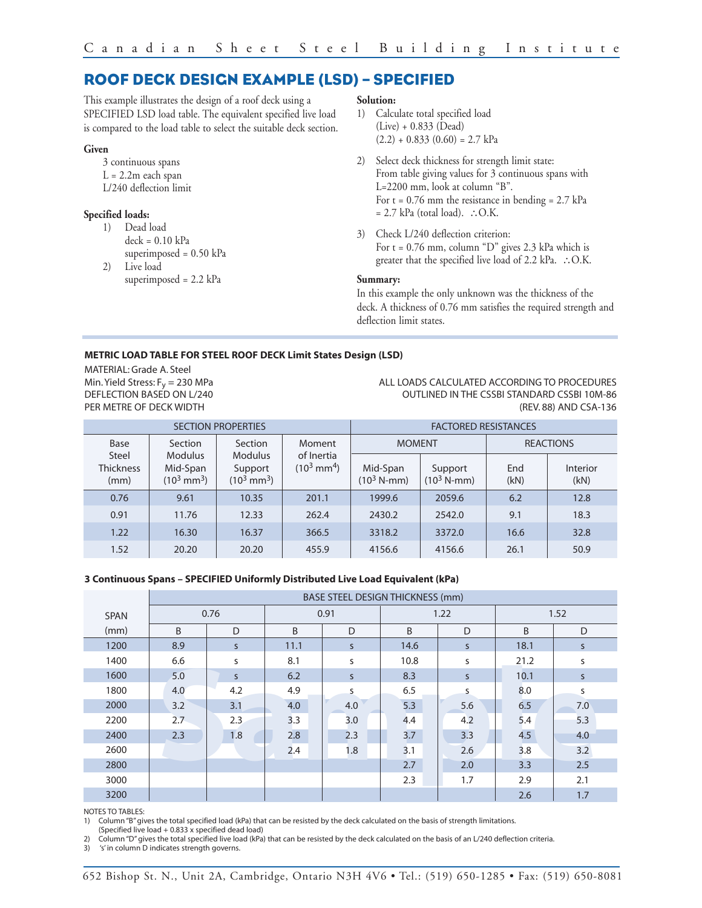### **ROOF DECK DESIGN EXAMPLE (LSD) – SPECIFIED**

This example illustrates the design of a roof deck using a SPECIFIED LSD load table. The equivalent specified live load is compared to the load table to select the suitable deck section.

#### **Given**

3 continuous spans  $L = 2.2m$  each span L/240 deflection limit

#### **Specified loads:**

- 1) Dead load  $deck = 0.10 kPa$ superimposed = 0.50 kPa
- 2) Live load superimposed = 2.2 kPa

#### **Solution:**

- 1) Calculate total specified load (Live) + 0.833 (Dead)  $(2.2) + 0.833(0.60) = 2.7$  kPa
- 2) Select deck thickness for strength limit state: From table giving values for 3 continuous spans with L=2200 mm, look at column "B". For  $t = 0.76$  mm the resistance in bending = 2.7 kPa = 2.7 kPa (total load). ∴O.K.
- 3) Check L/240 deflection criterion: For  $t = 0.76$  mm, column "D" gives 2.3 kPa which is greater that the specified live load of 2.2 kPa. ∴O.K.

#### **Summary:**

In this example the only unknown was the thickness of the deck. A thickness of 0.76 mm satisfies the required strength and deflection limit states.

#### **METRIC LOAD TABLE FOR STEEL ROOF DECK Limit States Design (LSD)**

MATERIAL: Grade A. Steel Min. Yield Stress:  $F_y = 230$  MPa DEFLECTION BASED ON L/240 PER METRE OF DECK WIDTH

ALL LOADS CALCULATED ACCORDING TO PROCEDURES OUTLINED IN THE CSSBI STANDARD CSSBI 10M-86 (REV. 88) AND CSA-136

| <b>SECTION PROPERTIES</b>         |                                                     |                                                    |                                     | <b>FACTORED RESISTANCES</b>       |                                  |                  |                  |
|-----------------------------------|-----------------------------------------------------|----------------------------------------------------|-------------------------------------|-----------------------------------|----------------------------------|------------------|------------------|
| Base                              | <b>Section</b>                                      | Section                                            | Moment                              | <b>MOMENT</b>                     |                                  | <b>REACTIONS</b> |                  |
| Steel<br><b>Thickness</b><br>(mm) | <b>Modulus</b><br>Mid-Span<br>$(10^3 \text{ mm}^3)$ | <b>Modulus</b><br>Support<br>$(10^3 \text{ mm}^3)$ | of Inertia<br>$(10^3 \text{ mm}^4)$ | Mid-Span<br>$(10^3 \text{ N-mm})$ | Support<br>$(10^3 \text{ N-mm})$ | End<br>(kN)      | Interior<br>(kN) |
| 0.76                              | 9.61                                                | 10.35                                              | 201.1                               | 1999.6                            | 2059.6                           | 6.2              | 12.8             |
| 0.91                              | 11.76                                               | 12.33                                              | 262.4                               | 2430.2                            | 2542.0                           | 9.1              | 18.3             |
| 1.22                              | 16.30                                               | 16.37                                              | 366.5                               | 3318.2                            | 3372.0                           | 16.6             | 32.8             |
| 1.52                              | 20.20                                               | 20.20                                              | 455.9                               | 4156.6                            | 4156.6                           | 26.1             | 50.9             |

#### **3 Continuous Spans – SPECIFIED Uniformly Distributed Live Load Equivalent (kPa)**

|             | <b>BASE STEEL DESIGN THICKNESS (mm)</b> |              |      |              |      |              |      |              |  |  |
|-------------|-----------------------------------------|--------------|------|--------------|------|--------------|------|--------------|--|--|
| <b>SPAN</b> | 0.76                                    |              | 0.91 |              | 1.22 |              | 1.52 |              |  |  |
| (mm)        | B                                       | D            | B    | D            | B    | D            | B    | D            |  |  |
| 1200        | 8.9                                     | $\mathsf{S}$ | 11.1 | $\mathsf{S}$ | 14.6 | S.           | 18.1 | $\mathsf{S}$ |  |  |
| 1400        | 6.6                                     | S            | 8.1  | S            | 10.8 | S            | 21.2 | s            |  |  |
| 1600        | 5.0                                     | <sub>S</sub> | 6.2  | $\mathsf{S}$ | 8.3  | $\mathsf{S}$ | 10.1 | <sub>S</sub> |  |  |
| 1800        | 4.0                                     | 4.2          | 4.9  | S            | 6.5  | S            | 8.0  | S            |  |  |
| 2000        | 3.2                                     | 3.1          | 4.0  | 4.0          | 5.3  | 5.6          | 6.5  | 7.0          |  |  |
| 2200        | 2.7                                     | 2.3          | 3.3  | 3.0          | 4.4  | 4.2          | 5.4  | 5.3          |  |  |
| 2400        | 2.3                                     | 1.8          | 2.8  | 2.3          | 3.7  | 3.3          | 4.5  | 4.0          |  |  |
| 2600        |                                         |              | 2.4  | 1.8          | 3.1  | 2.6          | 3.8  | 3.2          |  |  |
| 2800        |                                         |              |      |              | 2.7  | 2.0          | 3.3  | 2.5          |  |  |
| 3000        |                                         |              |      |              | 2.3  | 1.7          | 2.9  | 2.1          |  |  |
| 3200        |                                         |              |      |              |      |              | 2.6  | 1.7          |  |  |

NOTES TO TABLES:

1) Column "B" gives the total specified load (kPa) that can be resisted by the deck calculated on the basis of strength limitations.

(Specified live load + 0.833 x specified dead load)

2) Column "D" gives the total specified live load (kPa) that can be resisted by the deck calculated on the basis of an L/240 deflection criteria.

3) 's' in column D indicates strength governs.